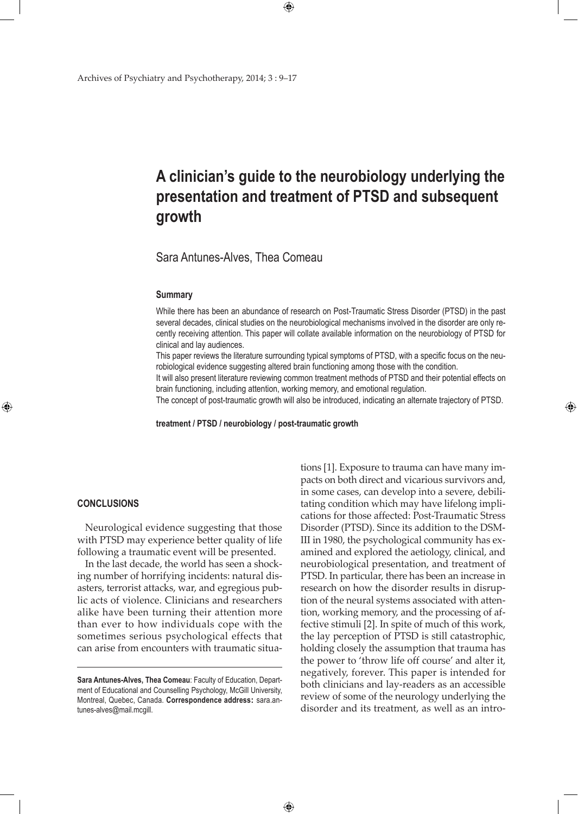# **A clinician's guide to the neurobiology underlying the presentation and treatment of PTSD and subsequent growth**

 $\bigoplus$ 

Sara Antunes-Alves, Thea Comeau

#### **Summary**

While there has been an abundance of research on Post-Traumatic Stress Disorder (PTSD) in the past several decades, clinical studies on the neurobiological mechanisms involved in the disorder are only recently receiving attention. This paper will collate available information on the neurobiology of PTSD for clinical and lay audiences.

This paper reviews the literature surrounding typical symptoms of PTSD, with a specific focus on the neurobiological evidence suggesting altered brain functioning among those with the condition.

It will also present literature reviewing common treatment methods of PTSD and their potential effects on brain functioning, including attention, working memory, and emotional regulation.

The concept of post-traumatic growth will also be introduced, indicating an alternate trajectory of PTSD.

**treatment / PTSD / neurobiology / post-traumatic growth**

 $\bigoplus$ 

#### **Conclusions**

⊕

Neurological evidence suggesting that those with PTSD may experience better quality of life following a traumatic event will be presented.

In the last decade, the world has seen a shocking number of horrifying incidents: natural disasters, terrorist attacks, war, and egregious public acts of violence. Clinicians and researchers alike have been turning their attention more than ever to how individuals cope with the sometimes serious psychological effects that can arise from encounters with traumatic situations [1]. Exposure to trauma can have many impacts on both direct and vicarious survivors and, in some cases, can develop into a severe, debilitating condition which may have lifelong implications for those affected: Post-Traumatic Stress Disorder (PTSD). Since its addition to the DSM-III in 1980, the psychological community has examined and explored the aetiology, clinical, and neurobiological presentation, and treatment of PTSD. In particular, there has been an increase in research on how the disorder results in disruption of the neural systems associated with attention, working memory, and the processing of affective stimuli [2]. In spite of much of this work, the lay perception of PTSD is still catastrophic, holding closely the assumption that trauma has the power to 'throw life off course' and alter it, negatively, forever. This paper is intended for both clinicians and lay-readers as an accessible review of some of the neurology underlying the disorder and its treatment, as well as an intro-

**Sara Antunes-Alves, Thea Comeau**: Faculty of Education, Department of Educational and Counselling Psychology, McGill University, Montreal, Quebec, Canada. **Correspondence address:** sara.antunes-alves@mail.mcgill.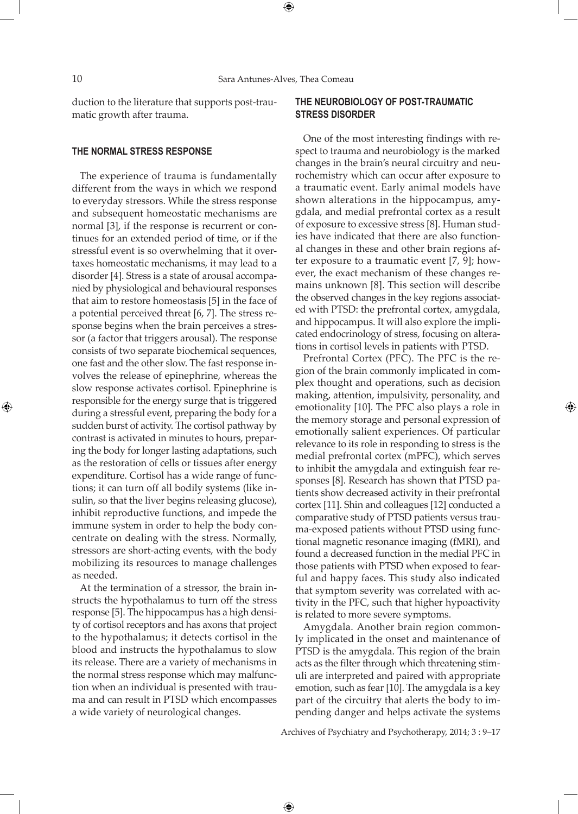⊕

duction to the literature that supports post-traumatic growth after trauma.

#### **The normal stress response**

The experience of trauma is fundamentally different from the ways in which we respond to everyday stressors. While the stress response and subsequent homeostatic mechanisms are normal [3], if the response is recurrent or continues for an extended period of time, or if the stressful event is so overwhelming that it overtaxes homeostatic mechanisms, it may lead to a disorder [4]. Stress is a state of arousal accompanied by physiological and behavioural responses that aim to restore homeostasis [5] in the face of a potential perceived threat [6, 7]. The stress response begins when the brain perceives a stressor (a factor that triggers arousal). The response consists of two separate biochemical sequences, one fast and the other slow. The fast response involves the release of epinephrine, whereas the slow response activates cortisol. Epinephrine is responsible for the energy surge that is triggered during a stressful event, preparing the body for a sudden burst of activity. The cortisol pathway by contrast is activated in minutes to hours, preparing the body for longer lasting adaptations, such as the restoration of cells or tissues after energy expenditure. Cortisol has a wide range of functions; it can turn off all bodily systems (like insulin, so that the liver begins releasing glucose), inhibit reproductive functions, and impede the immune system in order to help the body concentrate on dealing with the stress. Normally, stressors are short-acting events, with the body mobilizing its resources to manage challenges as needed.

At the termination of a stressor, the brain instructs the hypothalamus to turn off the stress response [5]. The hippocampus has a high density of cortisol receptors and has axons that project to the hypothalamus; it detects cortisol in the blood and instructs the hypothalamus to slow its release. There are a variety of mechanisms in the normal stress response which may malfunction when an individual is presented with trauma and can result in PTSD which encompasses a wide variety of neurological changes.

# **The Neurobiology of Post-Traumatic Stress Disorder**

One of the most interesting findings with respect to trauma and neurobiology is the marked changes in the brain's neural circuitry and neurochemistry which can occur after exposure to a traumatic event. Early animal models have shown alterations in the hippocampus, amygdala, and medial prefrontal cortex as a result of exposure to excessive stress [8]. Human studies have indicated that there are also functional changes in these and other brain regions after exposure to a traumatic event [7, 9]; however, the exact mechanism of these changes remains unknown [8]. This section will describe the observed changes in the key regions associated with PTSD: the prefrontal cortex, amygdala, and hippocampus. It will also explore the implicated endocrinology of stress, focusing on alterations in cortisol levels in patients with PTSD.

Prefrontal Cortex (PFC). The PFC is the region of the brain commonly implicated in complex thought and operations, such as decision making, attention, impulsivity, personality, and emotionality [10]. The PFC also plays a role in the memory storage and personal expression of emotionally salient experiences. Of particular relevance to its role in responding to stress is the medial prefrontal cortex (mPFC), which serves to inhibit the amygdala and extinguish fear responses [8]. Research has shown that PTSD patients show decreased activity in their prefrontal cortex [11]. Shin and colleagues [12] conducted a comparative study of PTSD patients versus trauma-exposed patients without PTSD using functional magnetic resonance imaging (fMRI), and found a decreased function in the medial PFC in those patients with PTSD when exposed to fearful and happy faces. This study also indicated that symptom severity was correlated with activity in the PFC, such that higher hypoactivity is related to more severe symptoms.

Amygdala. Another brain region commonly implicated in the onset and maintenance of PTSD is the amygdala. This region of the brain acts as the filter through which threatening stimuli are interpreted and paired with appropriate emotion, such as fear [10]. The amygdala is a key part of the circuitry that alerts the body to impending danger and helps activate the systems

Archives of Psychiatry and Psychotherapy, 2014; 3 : 9–17

 $\bigoplus$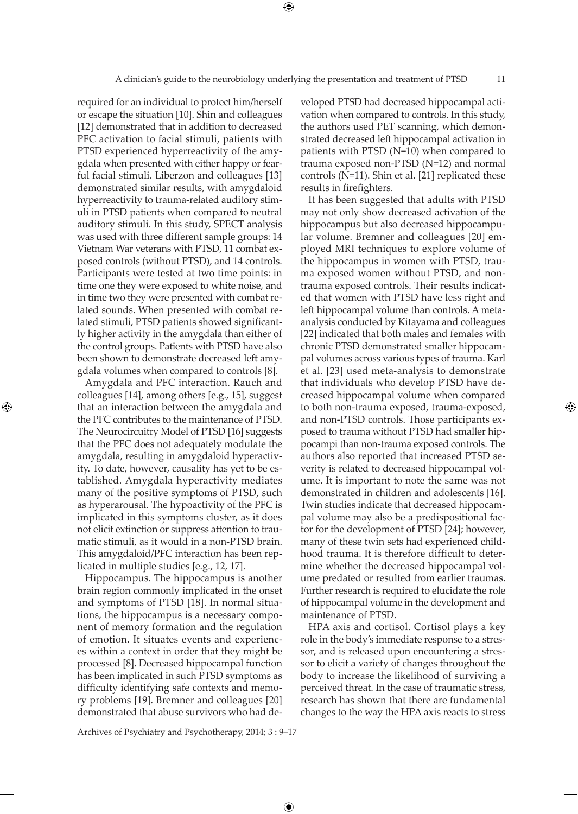required for an individual to protect him/herself or escape the situation [10]. Shin and colleagues [12] demonstrated that in addition to decreased PFC activation to facial stimuli, patients with PTSD experienced hyperreactivity of the amygdala when presented with either happy or fearful facial stimuli. Liberzon and colleagues [13] demonstrated similar results, with amygdaloid hyperreactivity to trauma-related auditory stimuli in PTSD patients when compared to neutral auditory stimuli. In this study, SPECT analysis was used with three different sample groups: 14 Vietnam War veterans with PTSD, 11 combat exposed controls (without PTSD), and 14 controls. Participants were tested at two time points: in time one they were exposed to white noise, and in time two they were presented with combat related sounds. When presented with combat related stimuli, PTSD patients showed significantly higher activity in the amygdala than either of the control groups. Patients with PTSD have also been shown to demonstrate decreased left amygdala volumes when compared to controls [8].

Amygdala and PFC interaction. Rauch and colleagues [14], among others [e.g., 15], suggest that an interaction between the amygdala and the PFC contributes to the maintenance of PTSD. The Neurocircuitry Model of PTSD [16] suggests that the PFC does not adequately modulate the amygdala, resulting in amygdaloid hyperactivity. To date, however, causality has yet to be established. Amygdala hyperactivity mediates many of the positive symptoms of PTSD, such as hyperarousal. The hypoactivity of the PFC is implicated in this symptoms cluster, as it does not elicit extinction or suppress attention to traumatic stimuli, as it would in a non-PTSD brain. This amygdaloid/PFC interaction has been replicated in multiple studies [e.g., 12, 17].

⊕

Hippocampus. The hippocampus is another brain region commonly implicated in the onset and symptoms of PTSD [18]. In normal situations, the hippocampus is a necessary component of memory formation and the regulation of emotion. It situates events and experiences within a context in order that they might be processed [8]. Decreased hippocampal function has been implicated in such PTSD symptoms as difficulty identifying safe contexts and memory problems [19]. Bremner and colleagues [20] demonstrated that abuse survivors who had developed PTSD had decreased hippocampal activation when compared to controls. In this study, the authors used PET scanning, which demonstrated decreased left hippocampal activation in patients with PTSD (N=10) when compared to trauma exposed non-PTSD (N=12) and normal controls (N=11). Shin et al. [21] replicated these results in firefighters.

It has been suggested that adults with PTSD may not only show decreased activation of the hippocampus but also decreased hippocampular volume. Bremner and colleagues [20] employed MRI techniques to explore volume of the hippocampus in women with PTSD, trauma exposed women without PTSD, and nontrauma exposed controls. Their results indicated that women with PTSD have less right and left hippocampal volume than controls. A metaanalysis conducted by Kitayama and colleagues [22] indicated that both males and females with chronic PTSD demonstrated smaller hippocampal volumes across various types of trauma. Karl et al. [23] used meta-analysis to demonstrate that individuals who develop PTSD have decreased hippocampal volume when compared to both non-trauma exposed, trauma-exposed, and non-PTSD controls. Those participants exposed to trauma without PTSD had smaller hippocampi than non-trauma exposed controls. The authors also reported that increased PTSD severity is related to decreased hippocampal volume. It is important to note the same was not demonstrated in children and adolescents [16]. Twin studies indicate that decreased hippocampal volume may also be a predispositional factor for the development of PTSD [24]; however, many of these twin sets had experienced childhood trauma. It is therefore difficult to determine whether the decreased hippocampal volume predated or resulted from earlier traumas. Further research is required to elucidate the role of hippocampal volume in the development and maintenance of PTSD.

HPA axis and cortisol. Cortisol plays a key role in the body's immediate response to a stressor, and is released upon encountering a stressor to elicit a variety of changes throughout the body to increase the likelihood of surviving a perceived threat. In the case of traumatic stress, research has shown that there are fundamental changes to the way the HPA axis reacts to stress

Archives of Psychiatry and Psychotherapy, 2014; 3 : 9–17

 $\bigoplus$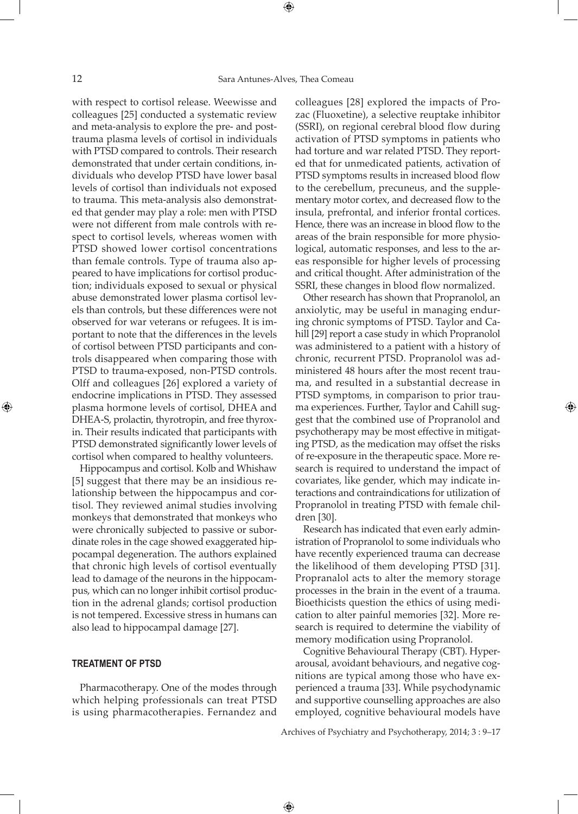with respect to cortisol release. Weewisse and colleagues [25] conducted a systematic review and meta-analysis to explore the pre- and posttrauma plasma levels of cortisol in individuals with PTSD compared to controls. Their research demonstrated that under certain conditions, individuals who develop PTSD have lower basal levels of cortisol than individuals not exposed to trauma. This meta-analysis also demonstrated that gender may play a role: men with PTSD were not different from male controls with respect to cortisol levels, whereas women with PTSD showed lower cortisol concentrations than female controls. Type of trauma also appeared to have implications for cortisol production; individuals exposed to sexual or physical abuse demonstrated lower plasma cortisol levels than controls, but these differences were not observed for war veterans or refugees. It is important to note that the differences in the levels of cortisol between PTSD participants and controls disappeared when comparing those with PTSD to trauma-exposed, non-PTSD controls. Olff and colleagues [26] explored a variety of endocrine implications in PTSD. They assessed plasma hormone levels of cortisol, DHEA and DHEA-S, prolactin, thyrotropin, and free thyroxin. Their results indicated that participants with PTSD demonstrated significantly lower levels of cortisol when compared to healthy volunteers.

Hippocampus and cortisol. Kolb and Whishaw [5] suggest that there may be an insidious relationship between the hippocampus and cortisol. They reviewed animal studies involving monkeys that demonstrated that monkeys who were chronically subjected to passive or subordinate roles in the cage showed exaggerated hippocampal degeneration. The authors explained that chronic high levels of cortisol eventually lead to damage of the neurons in the hippocampus, which can no longer inhibit cortisol production in the adrenal glands; cortisol production is not tempered. Excessive stress in humans can also lead to hippocampal damage [27].

#### **Treatment of PTSD**

Pharmacotherapy. One of the modes through which helping professionals can treat PTSD is using pharmacotherapies. Fernandez and

colleagues [28] explored the impacts of Prozac (Fluoxetine), a selective reuptake inhibitor (SSRI), on regional cerebral blood flow during activation of PTSD symptoms in patients who had torture and war related PTSD. They reported that for unmedicated patients, activation of PTSD symptoms results in increased blood flow to the cerebellum, precuneus, and the supplementary motor cortex, and decreased flow to the insula, prefrontal, and inferior frontal cortices. Hence, there was an increase in blood flow to the areas of the brain responsible for more physiological, automatic responses, and less to the areas responsible for higher levels of processing and critical thought. After administration of the SSRI, these changes in blood flow normalized.

Other research has shown that Propranolol, an anxiolytic, may be useful in managing enduring chronic symptoms of PTSD. Taylor and Cahill [29] report a case study in which Propranolol was administered to a patient with a history of chronic, recurrent PTSD. Propranolol was administered 48 hours after the most recent trauma, and resulted in a substantial decrease in PTSD symptoms, in comparison to prior trauma experiences. Further, Taylor and Cahill suggest that the combined use of Propranolol and psychotherapy may be most effective in mitigating PTSD, as the medication may offset the risks of re-exposure in the therapeutic space. More research is required to understand the impact of covariates, like gender, which may indicate interactions and contraindications for utilization of Propranolol in treating PTSD with female children [30].

Research has indicated that even early administration of Propranolol to some individuals who have recently experienced trauma can decrease the likelihood of them developing PTSD [31]. Propranalol acts to alter the memory storage processes in the brain in the event of a trauma. Bioethicists question the ethics of using medication to alter painful memories [32]. More research is required to determine the viability of memory modification using Propranolol.

Cognitive Behavioural Therapy (CBT). Hyperarousal, avoidant behaviours, and negative cognitions are typical among those who have experienced a trauma [33]. While psychodynamic and supportive counselling approaches are also employed, cognitive behavioural models have

Archives of Psychiatry and Psychotherapy, 2014; 3 : 9–17

 $\bigoplus$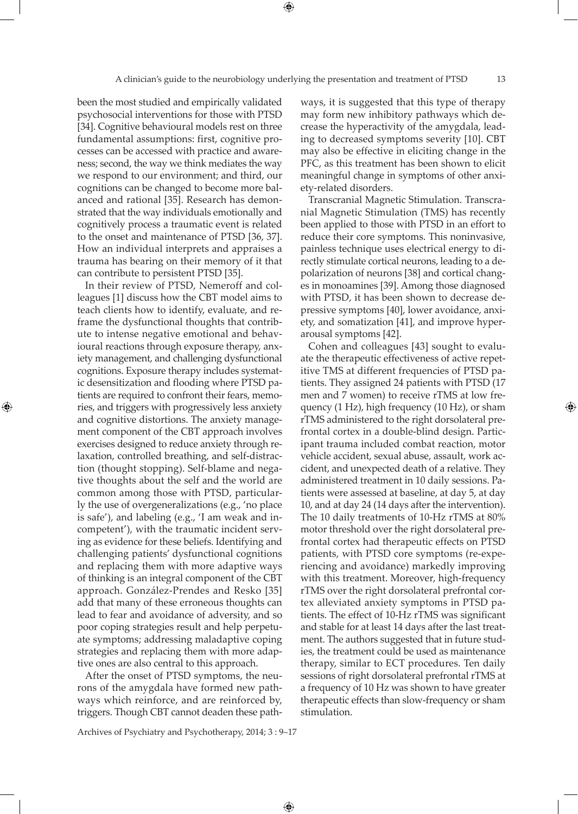been the most studied and empirically validated psychosocial interventions for those with PTSD [34]. Cognitive behavioural models rest on three fundamental assumptions: first, cognitive processes can be accessed with practice and awareness; second, the way we think mediates the way we respond to our environment; and third, our cognitions can be changed to become more balanced and rational [35]. Research has demonstrated that the way individuals emotionally and cognitively process a traumatic event is related to the onset and maintenance of PTSD [36, 37]. How an individual interprets and appraises a trauma has bearing on their memory of it that can contribute to persistent PTSD [35].

In their review of PTSD, Nemeroff and colleagues [1] discuss how the CBT model aims to teach clients how to identify, evaluate, and reframe the dysfunctional thoughts that contribute to intense negative emotional and behavioural reactions through exposure therapy, anxiety management, and challenging dysfunctional cognitions. Exposure therapy includes systematic desensitization and flooding where PTSD patients are required to confront their fears, memories, and triggers with progressively less anxiety and cognitive distortions. The anxiety management component of the CBT approach involves exercises designed to reduce anxiety through relaxation, controlled breathing, and self-distraction (thought stopping). Self-blame and negative thoughts about the self and the world are common among those with PTSD, particularly the use of overgeneralizations (e.g., 'no place is safe'), and labeling (e.g., 'I am weak and incompetent'), with the traumatic incident serving as evidence for these beliefs. Identifying and challenging patients' dysfunctional cognitions and replacing them with more adaptive ways of thinking is an integral component of the CBT approach. González-Prendes and Resko [35] add that many of these erroneous thoughts can lead to fear and avoidance of adversity, and so poor coping strategies result and help perpetuate symptoms; addressing maladaptive coping strategies and replacing them with more adaptive ones are also central to this approach.

⊕

After the onset of PTSD symptoms, the neurons of the amygdala have formed new pathways which reinforce, and are reinforced by, triggers. Though CBT cannot deaden these pathways, it is suggested that this type of therapy may form new inhibitory pathways which decrease the hyperactivity of the amygdala, leading to decreased symptoms severity [10]. CBT may also be effective in eliciting change in the PFC, as this treatment has been shown to elicit meaningful change in symptoms of other anxiety-related disorders.

Transcranial Magnetic Stimulation. Transcranial Magnetic Stimulation (TMS) has recently been applied to those with PTSD in an effort to reduce their core symptoms. This noninvasive, painless technique uses electrical energy to directly stimulate cortical neurons, leading to a depolarization of neurons [38] and cortical changes in monoamines [39]. Among those diagnosed with PTSD, it has been shown to decrease depressive symptoms [40], lower avoidance, anxiety, and somatization [41], and improve hyperarousal symptoms [42].

Cohen and colleagues [43] sought to evaluate the therapeutic effectiveness of active repetitive TMS at different frequencies of PTSD patients. They assigned 24 patients with PTSD (17 men and 7 women) to receive rTMS at low frequency (1 Hz), high frequency (10 Hz), or sham rTMS administered to the right dorsolateral prefrontal cortex in a double-blind design. Participant trauma included combat reaction, motor vehicle accident, sexual abuse, assault, work accident, and unexpected death of a relative. They administered treatment in 10 daily sessions. Patients were assessed at baseline, at day 5, at day 10, and at day 24 (14 days after the intervention). The 10 daily treatments of 10-Hz rTMS at 80% motor threshold over the right dorsolateral prefrontal cortex had therapeutic effects on PTSD patients, with PTSD core symptoms (re-experiencing and avoidance) markedly improving with this treatment. Moreover, high-frequency rTMS over the right dorsolateral prefrontal cortex alleviated anxiety symptoms in PTSD patients. The effect of 10-Hz rTMS was significant and stable for at least 14 days after the last treatment. The authors suggested that in future studies, the treatment could be used as maintenance therapy, similar to ECT procedures. Ten daily sessions of right dorsolateral prefrontal rTMS at a frequency of 10 Hz was shown to have greater therapeutic effects than slow-frequency or sham stimulation.

Archives of Psychiatry and Psychotherapy, 2014; 3 : 9–17

 $\bigoplus$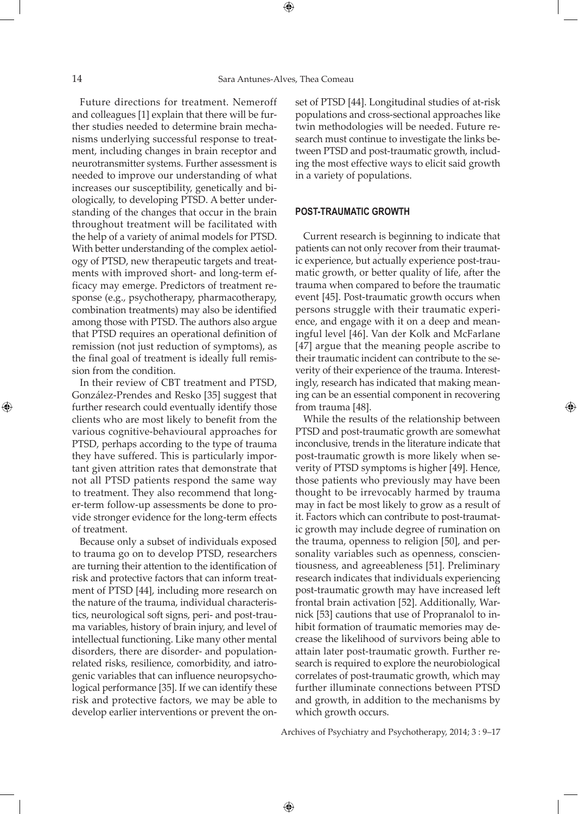Future directions for treatment. Nemeroff and colleagues [1] explain that there will be further studies needed to determine brain mechanisms underlying successful response to treatment, including changes in brain receptor and neurotransmitter systems. Further assessment is needed to improve our understanding of what increases our susceptibility, genetically and biologically, to developing PTSD. A better understanding of the changes that occur in the brain throughout treatment will be facilitated with the help of a variety of animal models for PTSD. With better understanding of the complex aetiology of PTSD, new therapeutic targets and treatments with improved short- and long-term efficacy may emerge. Predictors of treatment response (e.g., psychotherapy, pharmacotherapy, combination treatments) may also be identified among those with PTSD. The authors also argue that PTSD requires an operational definition of remission (not just reduction of symptoms), as the final goal of treatment is ideally full remission from the condition.

In their review of CBT treatment and PTSD, González-Prendes and Resko [35] suggest that further research could eventually identify those clients who are most likely to benefit from the various cognitive-behavioural approaches for PTSD, perhaps according to the type of trauma they have suffered. This is particularly important given attrition rates that demonstrate that not all PTSD patients respond the same way to treatment. They also recommend that longer-term follow-up assessments be done to provide stronger evidence for the long-term effects of treatment.

Because only a subset of individuals exposed to trauma go on to develop PTSD, researchers are turning their attention to the identification of risk and protective factors that can inform treatment of PTSD [44], including more research on the nature of the trauma, individual characteristics, neurological soft signs, peri- and post-trauma variables, history of brain injury, and level of intellectual functioning. Like many other mental disorders, there are disorder- and populationrelated risks, resilience, comorbidity, and iatrogenic variables that can influence neuropsychological performance [35]. If we can identify these risk and protective factors, we may be able to develop earlier interventions or prevent the onset of PTSD [44]. Longitudinal studies of at-risk populations and cross-sectional approaches like twin methodologies will be needed. Future research must continue to investigate the links between PTSD and post-traumatic growth, including the most effective ways to elicit said growth in a variety of populations.

#### **Post-traumatic growth**

Current research is beginning to indicate that patients can not only recover from their traumatic experience, but actually experience post-traumatic growth, or better quality of life, after the trauma when compared to before the traumatic event [45]. Post-traumatic growth occurs when persons struggle with their traumatic experience, and engage with it on a deep and meaningful level [46]. Van der Kolk and McFarlane [47] argue that the meaning people ascribe to their traumatic incident can contribute to the severity of their experience of the trauma. Interestingly, research has indicated that making meaning can be an essential component in recovering from trauma [48].

While the results of the relationship between PTSD and post-traumatic growth are somewhat inconclusive, trends in the literature indicate that post-traumatic growth is more likely when severity of PTSD symptoms is higher [49]. Hence, those patients who previously may have been thought to be irrevocably harmed by trauma may in fact be most likely to grow as a result of it. Factors which can contribute to post-traumatic growth may include degree of rumination on the trauma, openness to religion [50], and personality variables such as openness, conscientiousness, and agreeableness [51]. Preliminary research indicates that individuals experiencing post-traumatic growth may have increased left frontal brain activation [52]. Additionally, Warnick [53] cautions that use of Propranalol to inhibit formation of traumatic memories may decrease the likelihood of survivors being able to attain later post-traumatic growth. Further research is required to explore the neurobiological correlates of post-traumatic growth, which may further illuminate connections between PTSD and growth, in addition to the mechanisms by which growth occurs.

Archives of Psychiatry and Psychotherapy, 2014; 3 : 9–17

 $\bigoplus$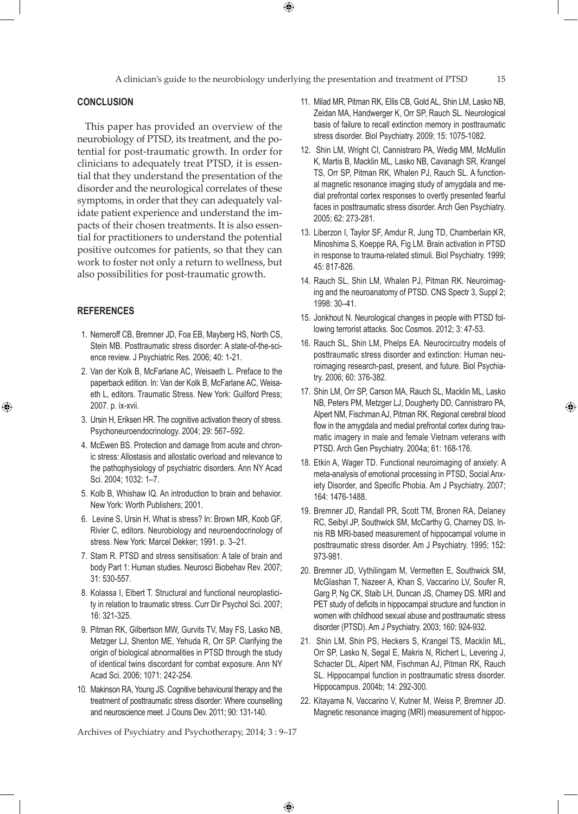A clinician's guide to the neurobiology underlying the presentation and treatment of PTSD 15

 $\bigoplus$ 

### **Conclusion**

This paper has provided an overview of the neurobiology of PTSD, its treatment, and the potential for post-traumatic growth. In order for clinicians to adequately treat PTSD, it is essential that they understand the presentation of the disorder and the neurological correlates of these symptoms, in order that they can adequately validate patient experience and understand the impacts of their chosen treatments. It is also essential for practitioners to understand the potential positive outcomes for patients, so that they can work to foster not only a return to wellness, but also possibilities for post-traumatic growth.

#### **References**

⊕

- 1. Nemeroff CB, Bremner JD, Foa EB, Mayberg HS, North CS, Stein MB. Posttraumatic stress disorder: A state-of-the-science review. J Psychiatric Res. 2006; 40: 1-21.
- 2. Van der Kolk B, McFarlane AC, Weisaeth L. Preface to the paperback edition. In: Van der Kolk B, McFarlane AC, Weisaeth L, editors. Traumatic Stress. New York: Guilford Press; 2007. p. ix-xvii.
- 3. Ursin H, Eriksen HR. The cognitive activation theory of stress. Psychoneuroendocrinology. 2004; 29: 567–592.
- 4. McEwen BS. Protection and damage from acute and chronic stress: Allostasis and allostatic overload and relevance to the pathophysiology of psychiatric disorders. Ann NY Acad Sci. 2004; 1032: 1–7.
- 5. Kolb B, Whishaw IQ. An introduction to brain and behavior. New York: Worth Publishers; 2001.
- 6. Levine S, Ursin H. What is stress? In: Brown MR, Koob GF, Rivier C, editors. Neurobiology and neuroendocrinology of stress. New York: Marcel Dekker; 1991. p. 3–21.
- 7. Stam R. PTSD and stress sensitisation: A tale of brain and body Part 1: Human studies. Neurosci Biobehav Rev. 2007; 31: 530-557.
- 8. Kolassa I, Elbert T. Structural and functional neuroplasticity in relation to traumatic stress. Curr Dir Psychol Sci. 2007; 16: 321-325.
- 9. Pitman RK, Gilbertson MW, Gurvits TV, May FS, Lasko NB, Metzger LJ, Shenton ME, Yehuda R, Orr SP. Clarifying the origin of biological abnormalities in PTSD through the study of identical twins discordant for combat exposure. Ann NY Acad Sci. 2006; 1071: 242-254.
- 10. Makinson RA, Young JS. Cognitive behavioural therapy and the treatment of posttraumatic stress disorder: Where counselling and neuroscience meet. J Couns Dev. 2011; 90: 131-140.

Archives of Psychiatry and Psychotherapy, 2014; 3 : 9–17

 $\bigoplus$ 

- 11. Milad MR, Pitman RK, Ellis CB, Gold AL, Shin LM, Lasko NB, Zeidan MA, Handwerger K, Orr SP, Rauch SL. Neurological basis of failure to recall extinction memory in posttraumatic stress disorder. Biol Psychiatry. 2009; 15: 1075-1082.
- 12. Shin LM, Wright CI, Cannistraro PA, Wedig MM, McMullin K, Martis B, Macklin ML, Lasko NB, Cavanagh SR, Krangel TS, Orr SP, Pitman RK, Whalen PJ, Rauch SL. A functional magnetic resonance imaging study of amygdala and medial prefrontal cortex responses to overtly presented fearful faces in posttraumatic stress disorder. Arch Gen Psychiatry. 2005; 62: 273-281.
- 13. Liberzon I, Taylor SF, Amdur R, Jung TD, Chamberlain KR, Minoshima S, Koeppe RA, Fig LM. Brain activation in PTSD in response to trauma-related stimuli. Biol Psychiatry. 1999; 45: 817-826.
- 14. Rauch SL, Shin LM, Whalen PJ, Pitman RK. Neuroimaging and the neuroanatomy of PTSD. CNS Spectr 3, Suppl 2; 1998: 30–41.
- 15. Jonkhout N. Neurological changes in people with PTSD following terrorist attacks. Soc Cosmos. 2012; 3: 47-53.
- 16. Rauch SL, Shin LM, Phelps EA. Neurocircuitry models of posttraumatic stress disorder and extinction: Human neuroimaging research-past, present, and future. Biol Psychiatry. 2006; 60: 376-382.
- 17. Shin LM, Orr SP, Carson MA, Rauch SL, Macklin ML, Lasko NB, Peters PM, Metzger LJ, Dougherty DD, Cannistraro PA, Alpert NM, Fischman AJ, Pitman RK. Regional cerebral blood flow in the amygdala and medial prefrontal cortex during traumatic imagery in male and female Vietnam veterans with PTSD. Arch Gen Psychiatry. 2004a; 61: 168-176.
- 18. Etkin A, Wager TD. Functional neuroimaging of anxiety: A meta-analysis of emotional processing in PTSD, Social Anxiety Disorder, and Specific Phobia. Am J Psychiatry. 2007; 164: 1476-1488.
- 19. Bremner JD, Randall PR, Scott TM, Bronen RA, Delaney RC, Seibyl JP, Southwick SM, McCarthy G, Charney DS, Innis RB MRI-based measurement of hippocampal volume in posttraumatic stress disorder. Am J Psychiatry. 1995; 152: 973-981.
- 20. Bremner JD, Vythilingam M, Vermetten E, Southwick SM, McGlashan T, Nazeer A, Khan S, Vaccarino LV, Soufer R, Garg P, Ng CK, Staib LH, Duncan JS, Charney DS. MRI and PET study of deficits in hippocampal structure and function in women with childhood sexual abuse and posttraumatic stress disorder (PTSD). Am J Psychiatry. 2003; 160: 924-932.
- 21. Shin LM, Shin PS, Heckers S, Krangel TS, Macklin ML, Orr SP, Lasko N, Segal E, Makris N, Richert L, Levering J, Schacter DL, Alpert NM, Fischman AJ, Pitman RK, Rauch SL. Hippocampal function in posttraumatic stress disorder. Hippocampus. 2004b; 14: 292-300.
- 22. Kitayama N, Vaccarino V, Kutner M, Weiss P, Bremner JD. Magnetic resonance imaging (MRI) measurement of hippoc-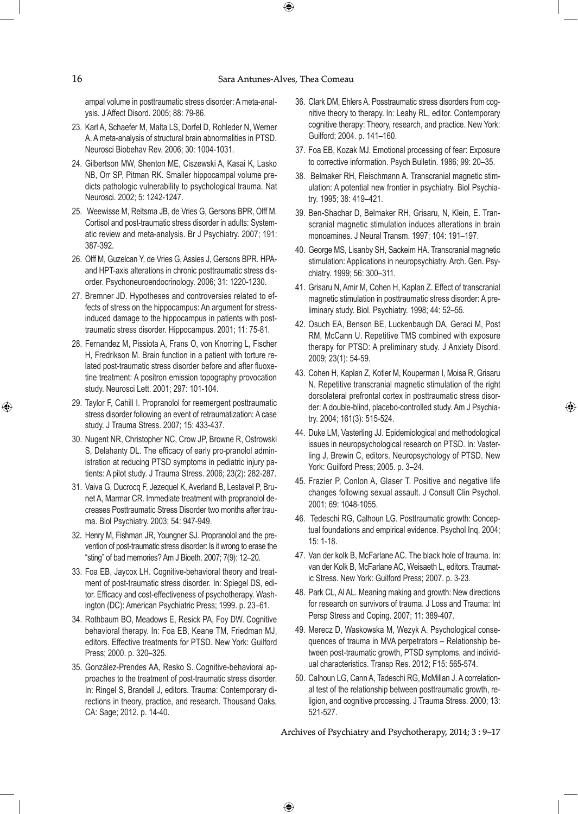$\bigoplus$ 

ampal volume in posttraumatic stress disorder: A meta-analysis. J Affect Disord. 2005; 88: 79-86.

- 23. Karl A, Schaefer M, Malta LS, Dorfel D, Rohleder N, Werner A. A meta-analysis of structural brain abnormalities in PTSD. Neurosci Biobehav Rev. 2006; 30: 1004-1031.
- 24. Gilbertson MW, Shenton ME, Ciszewski A, Kasai K, Lasko NB, Orr SP, Pitman RK. Smaller hippocampal volume predicts pathologic vulnerability to psychological trauma. Nat Neurosci. 2002; 5: 1242-1247.
- 25. Weewisse M, Reitsma JB, de Vries G, Gersons BPR, Olff M. Cortisol and post-traumatic stress disorder in adults: Systematic review and meta-analysis. Br J Psychiatry. 2007; 191: 387-392.
- 26. Olff M, Guzelcan Y, de Vries G, Assies J, Gersons BPR. HPAand HPT-axis alterations in chronic posttraumatic stress disorder. Psychoneuroendocrinology. 2006; 31: 1220-1230.
- 27. Bremner JD. Hypotheses and controversies related to effects of stress on the hippocampus: An argument for stressinduced damage to the hippocampus in patients with posttraumatic stress disorder. Hippocampus. 2001; 11: 75-81.
- 28. Fernandez M, Pissiota A, Frans O, von Knorring L, Fischer H, Fredrikson M. Brain function in a patient with torture related post-traumatic stress disorder before and after fluoxetine treatment: A positron emission topography provocation study. Neurosci Lett. 2001; 297: 101-104.
- 29. Taylor F, Cahill I. Propranolol for reemergent posttraumatic stress disorder following an event of retraumatization: A case study. J Trauma Stress. 2007; 15: 433-437.
- 30. Nugent NR, Christopher NC, Crow JP, Browne R, Ostrowski S, Delahanty DL. The efficacy of early pro-pranolol administration at reducing PTSD symptoms in pediatric injury patients: A pilot study. J Trauma Stress. 2006; 23(2): 282-287.
- 31. Vaiva G, Ducrocq F, Jezequel K, Averland B, Lestavel P, Brunet A, Marmar CR. Immediate treatment with propranolol decreases Posttraumatic Stress Disorder two months after trauma. Biol Psychiatry. 2003; 54: 947-949.
- 32. Henry M, Fishman JR, Youngner SJ. Propranolol and the prevention of post-traumatic stress disorder: Is it wrong to erase the "sting" of bad memories? Am J Bioeth. 2007; 7(9): 12–20.
- 33. Foa EB, Jaycox LH. Cognitive-behavioral theory and treatment of post-traumatic stress disorder. In: Spiegel DS, editor. Efficacy and cost-effectiveness of psychotherapy. Washington (DC): American Psychiatric Press; 1999. p. 23–61.
- 34. Rothbaum BO, Meadows E, Resick PA, Foy DW. Cognitive behavioral therapy. In: Foa EB, Keane TM, Friedman MJ, editors. Effective treatments for PTSD. New York: Guilford Press; 2000. p. 320–325.
- 35. González-Prendes AA, Resko S. Cognitive-behavioral approaches to the treatment of post-traumatic stress disorder. In: Ringel S, Brandell J, editors. Trauma: Contemporary directions in theory, practice, and research. Thousand Oaks, CA: Sage; 2012. p. 14-40.
- 36. Clark DM, Ehlers A. Posstraumatic stress disorders from cognitive theory to therapy. In: Leahy RL, editor. Contemporary cognitive therapy: Theory, research, and practice. New York: Guilford; 2004. p. 141–160.
- 37. Foa EB, Kozak MJ. Emotional processing of fear: Exposure to corrective information. Psych Bulletin. 1986; 99: 20–35.
- 38. Belmaker RH, Fleischmann A. Transcranial magnetic stimulation: A potential new frontier in psychiatry. Biol Psychiatry. 1995; 38: 419–421.
- 39. Ben-Shachar D, Belmaker RH, Grisaru, N, Klein, E. Transcranial magnetic stimulation induces alterations in brain monoamines. J Neural Transm. 1997; 104: 191–197.
- 40. George MS, Lisanby SH, Sackeim HA. Transcranial magnetic stimulation: Applications in neuropsychiatry. Arch. Gen. Psychiatry. 1999; 56: 300–311.
- 41. Grisaru N, Amir M, Cohen H, Kaplan Z. Effect of transcranial magnetic stimulation in posttraumatic stress disorder: A preliminary study. Biol. Psychiatry. 1998; 44: 52–55.
- 42. Osuch EA, Benson BE, Luckenbaugh DA, Geraci M, Post RM, McCann U. Repetitive TMS combined with exposure therapy for PTSD: A preliminary study. J Anxiety Disord. 2009; 23(1): 54-59.
- 43. Cohen H, Kaplan Z, Kotler M, Kouperman I, Moisa R, Grisaru N. Repetitive transcranial magnetic stimulation of the right dorsolateral prefrontal cortex in posttraumatic stress disorder: A double-blind, placebo-controlled study. Am J Psychiatry. 2004; 161(3): 515-524.

⊕

- 44. Duke LM, Vasterling JJ. Epidemiological and methodological issues in neuropsychological research on PTSD. In: Vasterling J, Brewin C, editors. Neuropsychology of PTSD. New York: Guilford Press; 2005. p. 3–24.
- 45. Frazier P, Conlon A, Glaser T. Positive and negative life changes following sexual assault. J Consult Clin Psychol. 2001; 69: 1048-1055.
- 46. Tedeschi RG, Calhoun LG. Posttraumatic growth: Conceptual foundations and empirical evidence. Psychol Inq. 2004; 15: 1-18.
- 47. Van der kolk B, McFarlane AC. The black hole of trauma. In: van der Kolk B, McFarlane AC, Weisaeth L, editors. Traumatic Stress. New York: Guilford Press; 2007. p. 3-23.
- 48. Park CL, Al AL. Meaning making and growth: New directions for research on survivors of trauma. J Loss and Trauma: Int Persp Stress and Coping. 2007; 11: 389-407.
- 49. Merecz D, Waskowska M, Wezyk A. Psychological consequences of trauma in MVA perpetrators – Relationship between post-traumatic growth, PTSD symptoms, and individual characteristics. Transp Res. 2012; F15: 565-574.
- 50. Calhoun LG, Cann A, Tadeschi RG, McMillan J. A correlational test of the relationship between posttraumatic growth, religion, and cognitive processing. J Trauma Stress. 2000; 13: 521-527.

Archives of Psychiatry and Psychotherapy, 2014; 3 : 9–17

 $\bigoplus$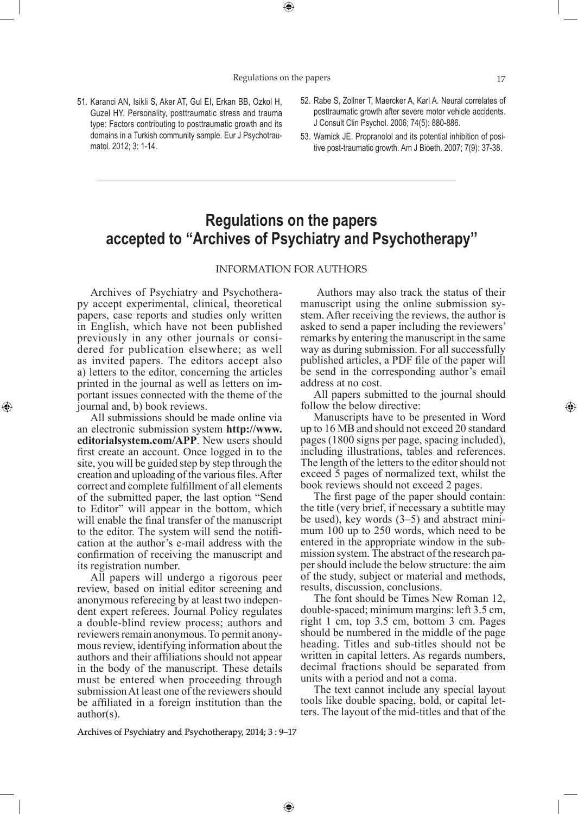Regulations on the papers the presentation and treatment of PTSD 17

⊕

- 51. Karanci AN, Isikli S, Aker AT, Gul EI, Erkan BB, Ozkol H, Guzel HY. Personality, posttraumatic stress and trauma type: Factors contributing to posttraumatic growth and its domains in a Turkish community sample. Eur J Psychotraumatol. 2012; 3: 1-14.
- 52. Rabe S, Zollner T, Maercker A, Karl A. Neural correlates of posttraumatic growth after severe motor vehicle accidents. J Consult Clin Psychol. 2006; 74(5): 880-886.
- 53. Warnick JE. Propranolol and its potential inhibition of positive post-traumatic growth. Am J Bioeth. 2007; 7(9): 37-38.

# **Regulations on the papers accepted to ''Archives of Psychiatry and Psychotherapy''**

# INFORMATION FOR AUTHORS

 $\bigoplus$ 

Archives of Psychiatry and Psychotherapy accept experimental, clinical, theoretical papers, case reports and studies only written in English, which have not been published previously in any other journals or considered for publication elsewhere; as well as invited papers. The editors accept also a) letters to the editor, concerning the articles printed in the journal as well as letters on important issues connected with the theme of the journal and, b) book reviews.

⊕

All submissions should be made online via an electronic submission system **http://www. editorialsystem.com/APP**. New users should first create an account. Once logged in to the site, you will be guided step by step through the creation and uploading of the various files. After correct and complete fulfillment of all elements of the submitted paper, the last option "Send to Editor" will appear in the bottom, which will enable the final transfer of the manuscript to the editor. The system will send the notification at the author's e-mail address with the confirmation of receiving the manuscript and its registration number.

All papers will undergo a rigorous peer review, based on initial editor screening and anonymous refereeing by at least two independent expert referees. Journal Policy regulates a double-blind review process; authors and reviewers remain anonymous. To permit anonymous review, identifying information about the authors and their affiliations should not appear in the body of the manuscript. These details must be entered when proceeding through submission At least one of the reviewers should be affiliated in a foreign institution than the author(s).

 Authors may also track the status of their manuscript using the online submission system. After receiving the reviews, the author is asked to send a paper including the reviewers' remarks by entering the manuscript in the same way as during submission. For all successfully published articles, a PDF file of the paper will be send in the corresponding author's email address at no cost.

All papers submitted to the journal should follow the below directive:

Manuscripts have to be presented in Word up to 16 MB and should not exceed 20 standard pages (1800 signs per page, spacing included), including illustrations, tables and references. The length of the letters to the editor should not exceed 5 pages of normalized text, whilst the book reviews should not exceed 2 pages.

The first page of the paper should contain: the title (very brief, if necessary a subtitle may be used), key words (3–5) and abstract minimum 100 up to 250 words, which need to be entered in the appropriate window in the submission system. The abstract of the research paper should include the below structure: the aim of the study, subject or material and methods, results, discussion, conclusions.

The font should be Times New Roman 12, double-spaced; minimum margins: left 3.5 cm, right 1 cm, top 3.5 cm, bottom 3 cm. Pages should be numbered in the middle of the page heading. Titles and sub-titles should not be written in capital letters. As regards numbers, decimal fractions should be separated from units with a period and not a coma.

The text cannot include any special layout tools like double spacing, bold, or capital letters. The layout of the mid-titles and that of the

Archives of Psychiatry and Psychotherapy, 2014; 3 : 9–17